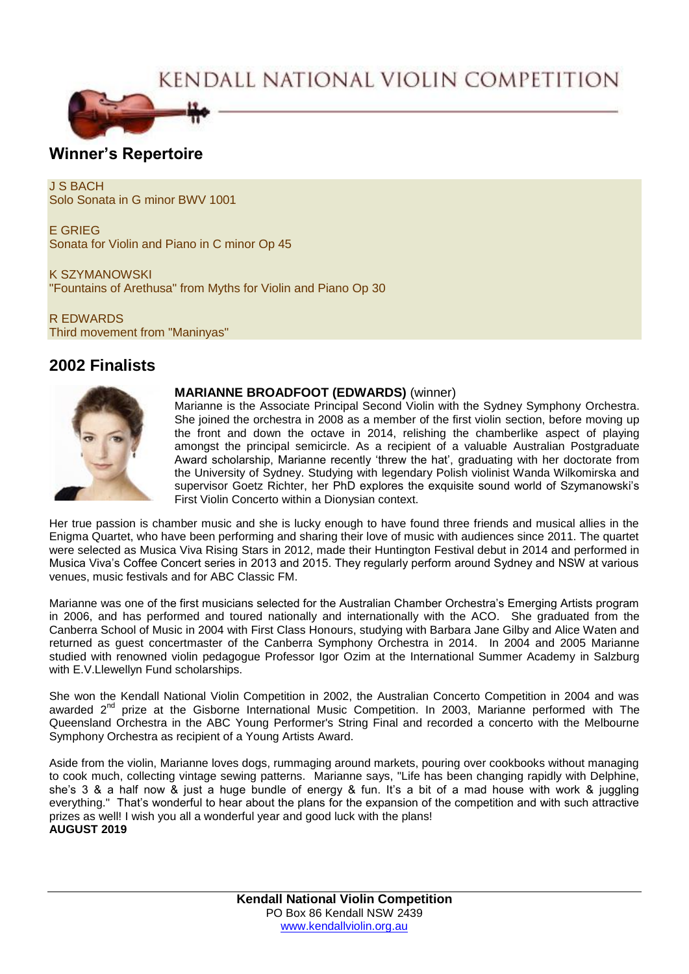# KENDALL NATIONAL VIOLIN COMPETITION



## **Winner's Repertoire**

J S BACH Solo Sonata in G minor BWV 1001

E GRIEG Sonata for Violin and Piano in C minor Op 45

K SZYMANOWSKI "Fountains of Arethusa" from Myths for Violin and Piano Op 30

R EDWARDS Third movement from "Maninyas"

# **2002 Finalists**



#### **MARIANNE BROADFOOT (EDWARDS)** (winner)

Marianne is the Associate Principal Second Violin with the Sydney Symphony Orchestra. She joined the orchestra in 2008 as a member of the first violin section, before moving up the front and down the octave in 2014, relishing the chamberlike aspect of playing amongst the principal semicircle. As a recipient of a valuable Australian Postgraduate Award scholarship, Marianne recently 'threw the hat', graduating with her doctorate from the University of Sydney. Studying with legendary Polish violinist Wanda Wilkomirska and supervisor Goetz Richter, her PhD explores the exquisite sound world of Szymanowski's First Violin Concerto within a Dionysian context.

Her true passion is chamber music and she is lucky enough to have found three friends and musical allies in the Enigma Quartet, who have been performing and sharing their love of music with audiences since 2011. The quartet were selected as Musica Viva Rising Stars in 2012, made their Huntington Festival debut in 2014 and performed in Musica Viva's Coffee Concert series in 2013 and 2015. They regularly perform around Sydney and NSW at various venues, music festivals and for ABC Classic FM.

Marianne was one of the first musicians selected for the Australian Chamber Orchestra's Emerging Artists program in 2006, and has performed and toured nationally and internationally with the ACO. She graduated from the Canberra School of Music in 2004 with First Class Honours, studying with Barbara Jane Gilby and Alice Waten and returned as guest concertmaster of the Canberra Symphony Orchestra in 2014. In 2004 and 2005 Marianne studied with renowned violin pedagogue Professor Igor Ozim at the International Summer Academy in Salzburg with E.V.Llewellyn Fund scholarships.

She won the Kendall National Violin Competition in 2002, the Australian Concerto Competition in 2004 and was awarded 2<sup>nd</sup> prize at the Gisborne International Music Competition. In 2003, Marianne performed with The Queensland Orchestra in the ABC Young Performer's String Final and recorded a concerto with the Melbourne Symphony Orchestra as recipient of a Young Artists Award.

Aside from the violin, Marianne loves dogs, rummaging around markets, pouring over cookbooks without managing to cook much, collecting vintage sewing patterns. Marianne says, "Life has been changing rapidly with Delphine, she's 3 & a half now & just a huge bundle of energy & fun. It's a bit of a mad house with work & juggling everything." That's wonderful to hear about the plans for the expansion of the competition and with such attractive prizes as well! I wish you all a wonderful year and good luck with the plans! **AUGUST 2019**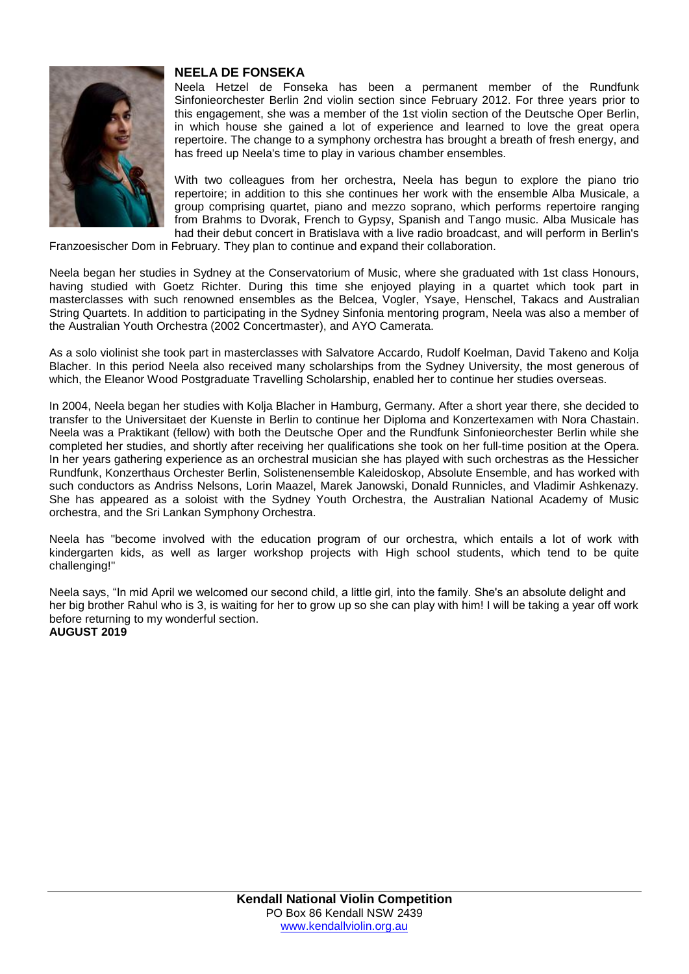

#### **NEELA DE FONSEKA**

Neela Hetzel de Fonseka has been a permanent member of the Rundfunk Sinfonieorchester Berlin 2nd violin section since February 2012. For three years prior to this engagement, she was a member of the 1st violin section of the Deutsche Oper Berlin, in which house she gained a lot of experience and learned to love the great opera repertoire. The change to a symphony orchestra has brought a breath of fresh energy, and has freed up Neela's time to play in various chamber ensembles.

With two colleagues from her orchestra, Neela has begun to explore the piano trio repertoire; in addition to this she continues her work with the ensemble Alba Musicale, a group comprising quartet, piano and mezzo soprano, which performs repertoire ranging from Brahms to Dvorak, French to Gypsy, Spanish and Tango music. Alba Musicale has had their debut concert in Bratislava with a live radio broadcast, and will perform in Berlin's

Franzoesischer Dom in February. They plan to continue and expand their collaboration.

Neela began her studies in Sydney at the Conservatorium of Music, where she graduated with 1st class Honours, having studied with Goetz Richter. During this time she enjoyed playing in a quartet which took part in masterclasses with such renowned ensembles as the Belcea, Vogler, Ysaye, Henschel, Takacs and Australian String Quartets. In addition to participating in the Sydney Sinfonia mentoring program, Neela was also a member of the Australian Youth Orchestra (2002 Concertmaster), and AYO Camerata.

As a solo violinist she took part in masterclasses with Salvatore Accardo, Rudolf Koelman, David Takeno and Kolja Blacher. In this period Neela also received many scholarships from the Sydney University, the most generous of which, the Eleanor Wood Postgraduate Travelling Scholarship, enabled her to continue her studies overseas.

In 2004, Neela began her studies with Kolja Blacher in Hamburg, Germany. After a short year there, she decided to transfer to the Universitaet der Kuenste in Berlin to continue her Diploma and Konzertexamen with Nora Chastain. Neela was a Praktikant (fellow) with both the Deutsche Oper and the Rundfunk Sinfonieorchester Berlin while she completed her studies, and shortly after receiving her qualifications she took on her full-time position at the Opera. In her years gathering experience as an orchestral musician she has played with such orchestras as the Hessicher Rundfunk, Konzerthaus Orchester Berlin, Solistenensemble Kaleidoskop, Absolute Ensemble, and has worked with such conductors as Andriss Nelsons, Lorin Maazel, Marek Janowski, Donald Runnicles, and Vladimir Ashkenazy. She has appeared as a soloist with the Sydney Youth Orchestra, the Australian National Academy of Music orchestra, and the Sri Lankan Symphony Orchestra.

Neela has "become involved with the education program of our orchestra, which entails a lot of work with kindergarten kids, as well as larger workshop projects with High school students, which tend to be quite challenging!"

Neela says, "In mid April we welcomed our second child, a little girl, into the family. She's an absolute delight and her big brother Rahul who is 3, is waiting for her to grow up so she can play with him! I will be taking a year off work before returning to my wonderful section. **AUGUST 2019**